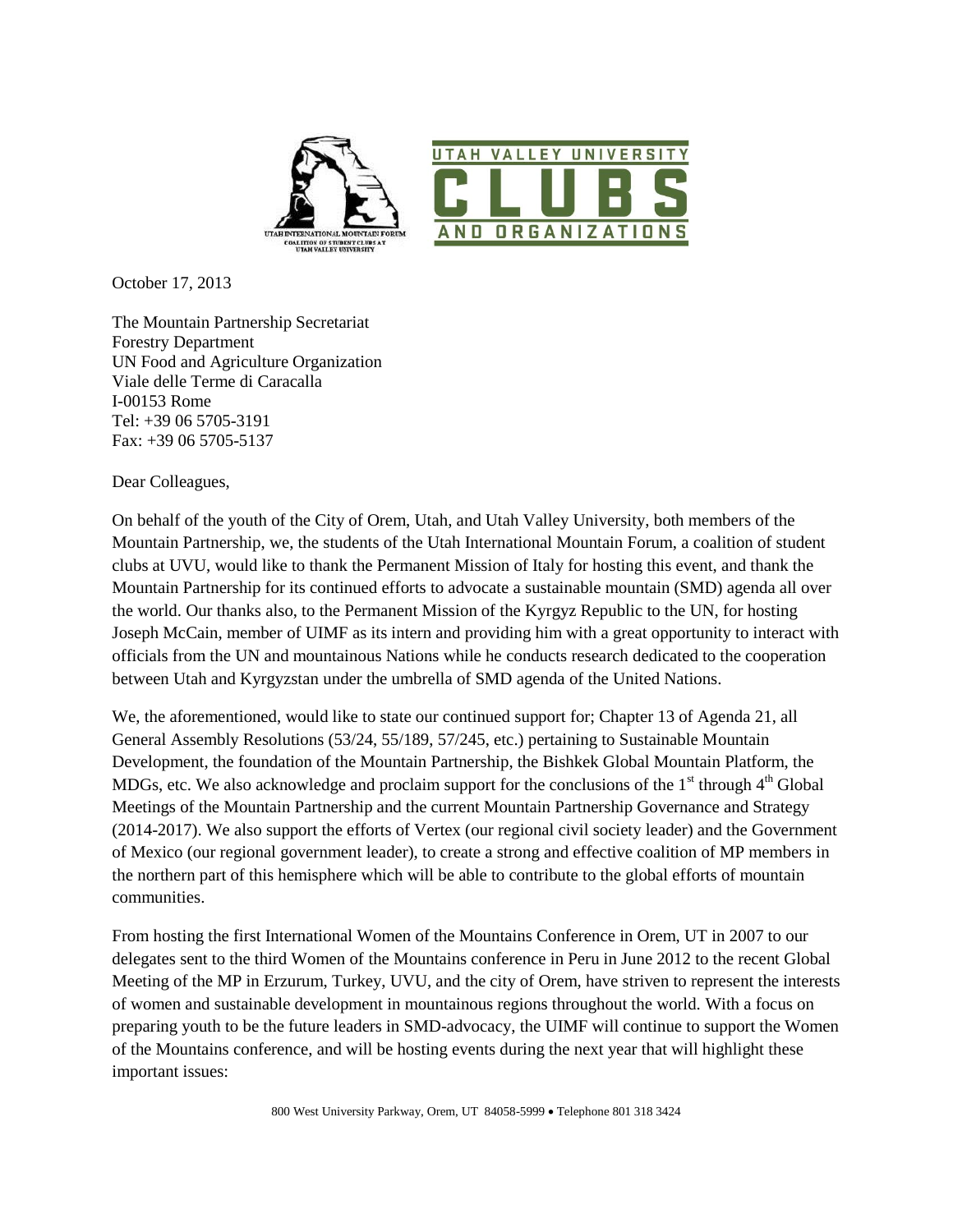

October 17, 2013

The Mountain Partnership Secretariat Forestry Department UN Food and Agriculture Organization Viale delle Terme di Caracalla I-00153 Rome Tel: +39 06 5705-3191 Fax: +39 06 5705-5137

Dear Colleagues,

On behalf of the youth of the City of Orem, Utah, and Utah Valley University, both members of the Mountain Partnership, we, the students of the Utah International Mountain Forum, a coalition of student clubs at UVU, would like to thank the Permanent Mission of Italy for hosting this event, and thank the Mountain Partnership for its continued efforts to advocate a sustainable mountain (SMD) agenda all over the world. Our thanks also, to the Permanent Mission of the Kyrgyz Republic to the UN, for hosting Joseph McCain, member of UIMF as its intern and providing him with a great opportunity to interact with officials from the UN and mountainous Nations while he conducts research dedicated to the cooperation between Utah and Kyrgyzstan under the umbrella of SMD agenda of the United Nations.

We, the aforementioned, would like to state our continued support for; Chapter 13 of Agenda 21, all General Assembly Resolutions (53/24, 55/189, 57/245, etc.) pertaining to Sustainable Mountain Development, the foundation of the Mountain Partnership, the Bishkek Global Mountain Platform, the MDGs, etc. We also acknowledge and proclaim support for the conclusions of the  $1<sup>st</sup>$  through  $4<sup>th</sup>$  Global Meetings of the Mountain Partnership and the current Mountain Partnership Governance and Strategy (2014-2017). We also support the efforts of Vertex (our regional civil society leader) and the Government of Mexico (our regional government leader), to create a strong and effective coalition of MP members in the northern part of this hemisphere which will be able to contribute to the global efforts of mountain communities.

From hosting the first International Women of the Mountains Conference in Orem, UT in 2007 to our delegates sent to the third Women of the Mountains conference in Peru in June 2012 to the recent Global Meeting of the MP in Erzurum, Turkey, UVU, and the city of Orem, have striven to represent the interests of women and sustainable development in mountainous regions throughout the world. With a focus on preparing youth to be the future leaders in SMD-advocacy, the UIMF will continue to support the Women of the Mountains conference, and will be hosting events during the next year that will highlight these important issues: